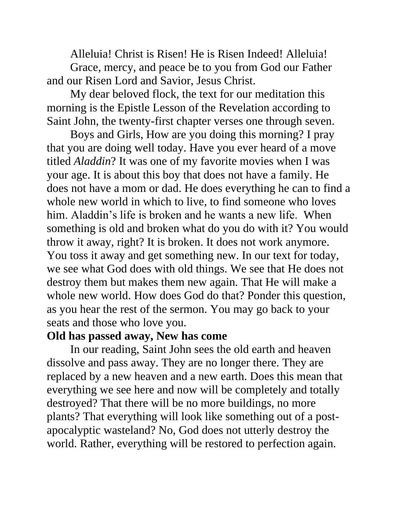Alleluia! Christ is Risen! He is Risen Indeed! Alleluia! Grace, mercy, and peace be to you from God our Father and our Risen Lord and Savior, Jesus Christ.

My dear beloved flock, the text for our meditation this morning is the Epistle Lesson of the Revelation according to Saint John, the twenty-first chapter verses one through seven.

Boys and Girls, How are you doing this morning? I pray that you are doing well today. Have you ever heard of a move titled *Aladdin*? It was one of my favorite movies when I was your age. It is about this boy that does not have a family. He does not have a mom or dad. He does everything he can to find a whole new world in which to live, to find someone who loves him. Aladdin's life is broken and he wants a new life. When something is old and broken what do you do with it? You would throw it away, right? It is broken. It does not work anymore. You toss it away and get something new. In our text for today, we see what God does with old things. We see that He does not destroy them but makes them new again. That He will make a whole new world. How does God do that? Ponder this question, as you hear the rest of the sermon. You may go back to your seats and those who love you.

## **Old has passed away, New has come**

In our reading, Saint John sees the old earth and heaven dissolve and pass away. They are no longer there. They are replaced by a new heaven and a new earth. Does this mean that everything we see here and now will be completely and totally destroyed? That there will be no more buildings, no more plants? That everything will look like something out of a postapocalyptic wasteland? No, God does not utterly destroy the world. Rather, everything will be restored to perfection again.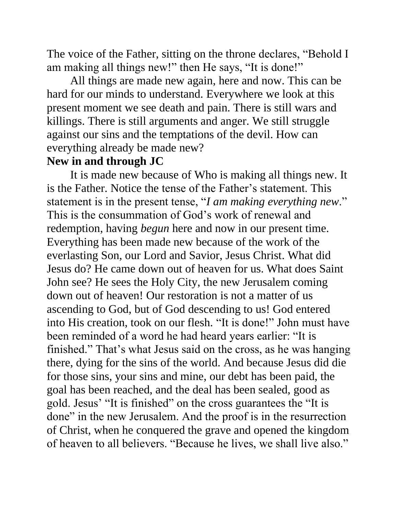The voice of the Father, sitting on the throne declares, "Behold I am making all things new!" then He says, "It is done!"

All things are made new again, here and now. This can be hard for our minds to understand. Everywhere we look at this present moment we see death and pain. There is still wars and killings. There is still arguments and anger. We still struggle against our sins and the temptations of the devil. How can everything already be made new?

## **New in and through JC**

It is made new because of Who is making all things new. It is the Father. Notice the tense of the Father's statement. This statement is in the present tense, "*I am making everything new*." This is the consummation of God's work of renewal and redemption, having *begun* here and now in our present time. Everything has been made new because of the work of the everlasting Son, our Lord and Savior, Jesus Christ. What did Jesus do? He came down out of heaven for us. What does Saint John see? He sees the Holy City, the new Jerusalem coming down out of heaven! Our restoration is not a matter of us ascending to God, but of God descending to us! God entered into His creation, took on our flesh. "It is done!" John must have been reminded of a word he had heard years earlier: "It is finished." That's what Jesus said on the cross, as he was hanging there, dying for the sins of the world. And because Jesus did die for those sins, your sins and mine, our debt has been paid, the goal has been reached, and the deal has been sealed, good as gold. Jesus' "It is finished" on the cross guarantees the "It is done" in the new Jerusalem. And the proof is in the resurrection of Christ, when he conquered the grave and opened the kingdom of heaven to all believers. "Because he lives, we shall live also."